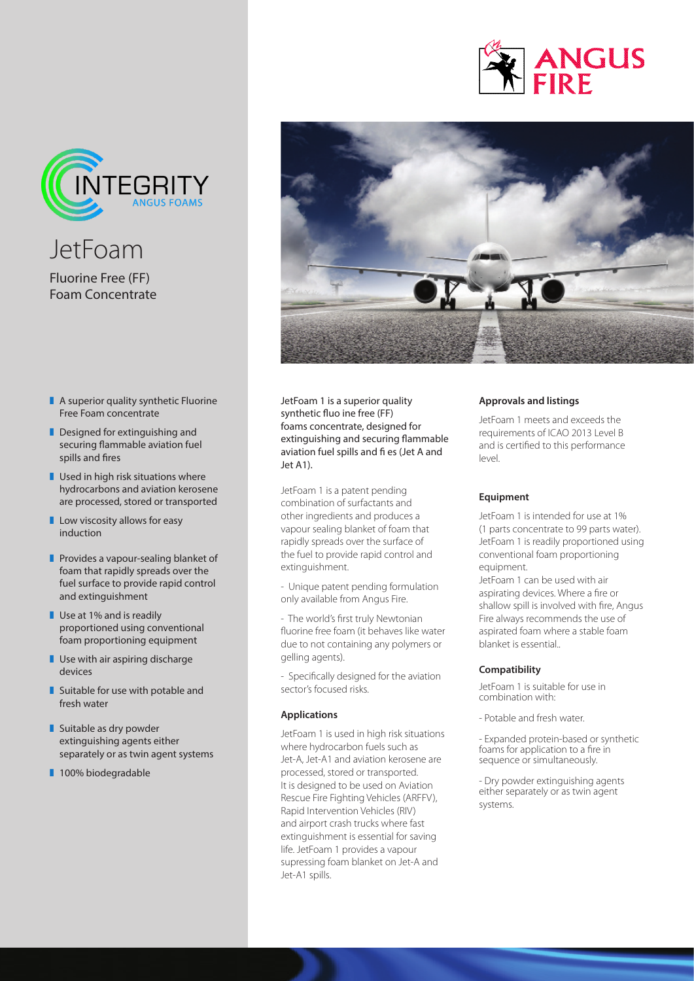



JetFoam Fluorine Free (FF) Foam Concentrate

- $\blacksquare$  A superior quality synthetic Fluorine Free Foam concentrate
- $\blacksquare$  Designed for extinguishing and securing flammable aviation fuel spills and fires
- $\blacksquare$  Used in high risk situations where hydrocarbons and aviation kerosene are processed, stored or transported
- $\blacksquare$  Low viscosity allows for easy induction
- $\blacksquare$  Provides a vapour-sealing blanket of foam that rapidly spreads over the fuel surface to provide rapid control and extinguishment
- $\blacksquare$  Use at 1% and is readily proportioned using conventional foam proportioning equipment
- $\blacksquare$  Use with air aspiring discharge devices
- $\blacksquare$  Suitable for use with potable and fresh water
- $\blacksquare$  Suitable as dry powder extinguishing agents either separately or as twin agent systems
- 100% biodegradable



JetFoam 1 is a superior quality synthetic fluo ine free (FF) foams concentrate, designed for extinguishing and securing flammable aviation fuel spills and fi es (Jet A and Jet A1).

JetFoam 1 is a patent pending combination of surfactants and other ingredients and produces a vapour sealing blanket of foam that rapidly spreads over the surface of the fuel to provide rapid control and extinguishment.

- Unique patent pending formulation only available from Angus Fire.

- The world's first truly Newtonian fluorine free foam (it behaves like water due to not containing any polymers or gelling agents).

- Specifically designed for the aviation sector's focused risks.

#### **Applications**

JetFoam 1 is used in high risk situations where hydrocarbon fuels such as Jet-A, Jet-A1 and aviation kerosene are processed, stored or transported. It is designed to be used on Aviation Rescue Fire Fighting Vehicles (ARFFV), Rapid Intervention Vehicles (RIV) and airport crash trucks where fast extinguishment is essential for saving life. JetFoam 1 provides a vapour supressing foam blanket on Jet-A and Jet-A1 spills.

## **Approvals and listings**

JetFoam 1 meets and exceeds the requirements of ICAO 2013 Level B and is certified to this performance level.

## **Equipment**

JetFoam 1 is intended for use at 1% (1 parts concentrate to 99 parts water). JetFoam 1 is readily proportioned using conventional foam proportioning equipment.

JetFoam 1 can be used with air aspirating devices. Where a fire or shallow spill is involved with fire, Angus Fire always recommends the use of aspirated foam where a stable foam blanket is essential..

#### **Compatibility**

JetFoam 1 is suitable for use in combination with:

- Potable and fresh water.

- Expanded protein-based or synthetic foams for application to a fire in sequence or simultaneously.

- Dry powder extinguishing agents either separately or as twin agent systems.